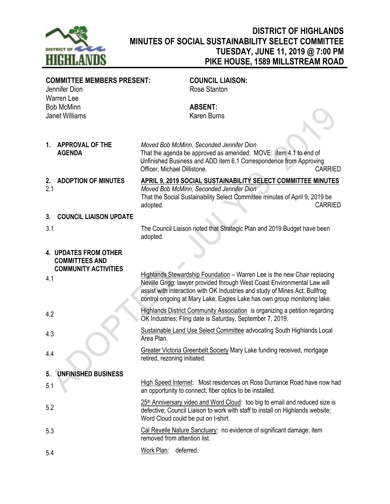

## **DISTRICT OF HIGHLANDS MINUTES OF SOCIAL SUSTAINABILITY SELECT COMMITTEE TUESDAY, JUNE 11, 2019 @ 7:00 PM PIKE HOUSE, 1589 MILLSTREAM ROAD**

| <b>COMMITTEE MEMBERS PRESENT:</b><br>Jennifer Dion<br><b>Warren Lee</b>              |                                            |                                     | <b>COUNCIL LIAISON:</b><br>Rose Stanton                                                                                                                                                                                                                                                                         |                |
|--------------------------------------------------------------------------------------|--------------------------------------------|-------------------------------------|-----------------------------------------------------------------------------------------------------------------------------------------------------------------------------------------------------------------------------------------------------------------------------------------------------------------|----------------|
|                                                                                      | <b>Bob McMinn</b><br><b>Janet Williams</b> |                                     | <b>ABSENT:</b><br><b>Karen Burns</b>                                                                                                                                                                                                                                                                            |                |
| 1.                                                                                   | <b>APPROVAL OF THE</b><br><b>AGENDA</b>    | Officer, Michael Dillistone.        | Moved Bob McMinn, Seconded Jennifer Dion<br>That the agenda be approved as amended: MOVE: item 4.1 to end of<br>Unfinished Business and ADD item 6.1 Correspondence from Approving                                                                                                                              | <b>CARRIED</b> |
| 2.<br>2.1                                                                            | <b>ADOPTION OF MINUTES</b>                 | adopted.                            | APRIL 9, 2019 SOCIAL SUSTAINABILITY SELECT COMMITTEE MINUTES<br>Moved Bob McMinn, Seconded Jennifer Dion<br>That the Social Sustainability Select Committee minutes of April 9, 2019 be                                                                                                                         | <b>CARRIED</b> |
| 3.                                                                                   | <b>COUNCIL LIAISON UPDATE</b>              |                                     |                                                                                                                                                                                                                                                                                                                 |                |
| 3.1                                                                                  |                                            | adopted.                            | The Council Liaison noted that Strategic Plan and 2019 Budget have been                                                                                                                                                                                                                                         |                |
| <b>4. UPDATES FROM OTHER</b><br><b>COMMITTEES AND</b><br><b>COMMUNITY ACTIVITIES</b> |                                            |                                     |                                                                                                                                                                                                                                                                                                                 |                |
| 4.1                                                                                  |                                            |                                     | Highlands Stewardship Foundation - Warren Lee is the new Chair replacing<br>Neville Grigg; lawyer provided through West Coast Environmental Law will<br>assist with interaction with OK Industries and study of Mines Act; Bullfrog<br>control ongoing at Mary Lake; Eagles Lake has own group monitoring lake. |                |
| 4.2                                                                                  |                                            |                                     | <b>Highlands District Community Association</b> is organizing a petition regarding<br>OK Industries; Fling date is Saturday, September 7, 2019.                                                                                                                                                                 |                |
| 4.3                                                                                  |                                            | Area Plan.                          | Sustainable Land Use Select Committee advocating South Highlands Local                                                                                                                                                                                                                                          |                |
| 4.4                                                                                  |                                            | retired, rezoning initiated.        | Greater Victoria Greenbelt Society Mary Lake funding received, mortgage                                                                                                                                                                                                                                         |                |
| 5.                                                                                   | <b>UNFINISHED BUSINESS</b>                 |                                     |                                                                                                                                                                                                                                                                                                                 |                |
| 5.1                                                                                  |                                            |                                     | High Speed Internet: Most residences on Ross Durrance Road have now had<br>an opportunity to connect; fiber optics to be installed.                                                                                                                                                                             |                |
| 5.2                                                                                  |                                            | Word Cloud could be put on t-shirt. | 25 <sup>th</sup> Anniversary video and Word Cloud: too big to email and reduced size is<br>defective; Council Liaison to work with staff to install on Highlands website;                                                                                                                                       |                |
| 5.3                                                                                  |                                            | removed from attention list.        | Cal Revelle Nature Sanctuary: no evidence of significant damage; item                                                                                                                                                                                                                                           |                |
| 5.4                                                                                  |                                            | Work Plan: deferred.                |                                                                                                                                                                                                                                                                                                                 |                |